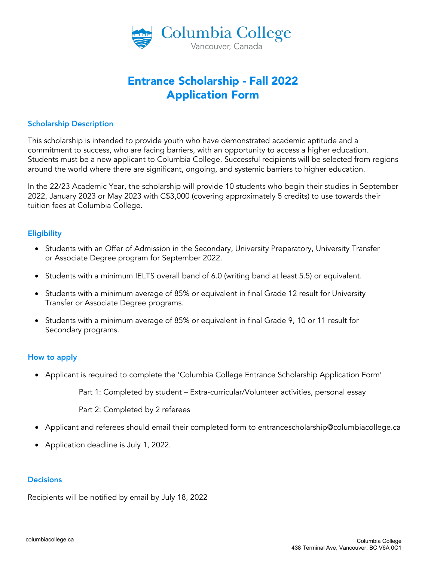

# Entrance Scholarship - Fall 2022 Application Form

# Scholarship Description

This scholarship is intended to provide youth who have demonstrated academic aptitude and a commitment to success, who are facing barriers, with an opportunity to access a higher education. Students must be a new applicant to Columbia College. Successful recipients will be selected from regions around the world where there are significant, ongoing, and systemic barriers to higher education.

In the 22/23 Academic Year, the scholarship will provide 10 students who begin their studies in September 2022, January 2023 or May 2023 with C\$3,000 (covering approximately 5 credits) to use towards their tuition fees at Columbia College.

## **Eligibility**

- Students with an Offer of Admission in the Secondary, University Preparatory, University Transfer or Associate Degree program for September 2022.
- Students with a minimum IELTS overall band of 6.0 (writing band at least 5.5) or equivalent.
- Students with a minimum average of 85% or equivalent in final Grade 12 result for University Transfer or Associate Degree programs.
- Students with a minimum average of 85% or equivalent in final Grade 9, 10 or 11 result for Secondary programs.

# How to apply

• Applicant is required to complete the 'Columbia College Entrance Scholarship Application Form'

Part 1: Completed by student – Extra-curricular/Volunteer activities, personal essay

Part 2: Completed by 2 referees

- Applicant and referees should email their completed form to entrancescholarship@columbiacollege.ca
- Application deadline is July 1, 2022.

## **Decisions**

Recipients will be notified by email by July 18, 2022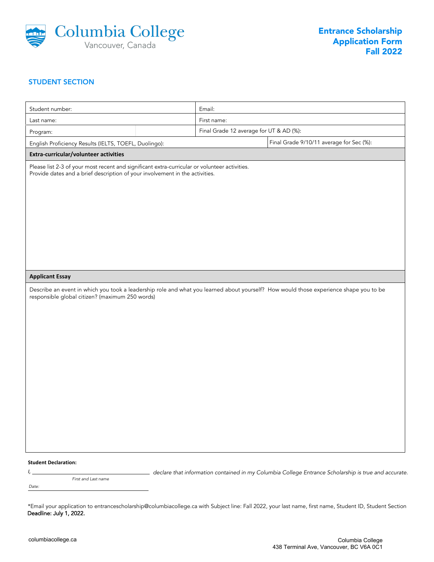

### STUDENT SECTION

| Student number:                                                                                                                                                                                                    | Email:                                  |                                                                                                      |  |
|--------------------------------------------------------------------------------------------------------------------------------------------------------------------------------------------------------------------|-----------------------------------------|------------------------------------------------------------------------------------------------------|--|
| Last name:                                                                                                                                                                                                         | First name:                             |                                                                                                      |  |
| Program:                                                                                                                                                                                                           | Final Grade 12 average for UT & AD (%): |                                                                                                      |  |
| English Proficiency Results (IELTS, TOEFL, Duolingo):                                                                                                                                                              |                                         | Final Grade 9/10/11 average for Sec (%):                                                             |  |
| Extra-curricular/volunteer activities                                                                                                                                                                              |                                         |                                                                                                      |  |
| Please list 2-3 of your most recent and significant extra-curricular or volunteer activities.<br>Provide dates and a brief description of your involvement in the activities.                                      |                                         |                                                                                                      |  |
| <b>Applicant Essay</b><br>Describe an event in which you took a leadership role and what you learned about yourself? How would those experience shape you to be<br>responsible global citizen? (maximum 250 words) |                                         |                                                                                                      |  |
|                                                                                                                                                                                                                    |                                         |                                                                                                      |  |
|                                                                                                                                                                                                                    |                                         |                                                                                                      |  |
|                                                                                                                                                                                                                    |                                         |                                                                                                      |  |
| <b>Student Declaration:</b><br>ı, <u>.</u><br><u> 1989 - Johann Barnett, fransk politiker (</u>                                                                                                                    |                                         | declare that information contained in my Columbia College Entrance Scholarship is true and accurate. |  |

Date: First and Last name

<sup>\*</sup>Email your application to entrancescholarship@columbiacollege.ca with Subject line: Fall 2022, your last name, first name, Student ID, Student Section Deadline: July 1, 2022.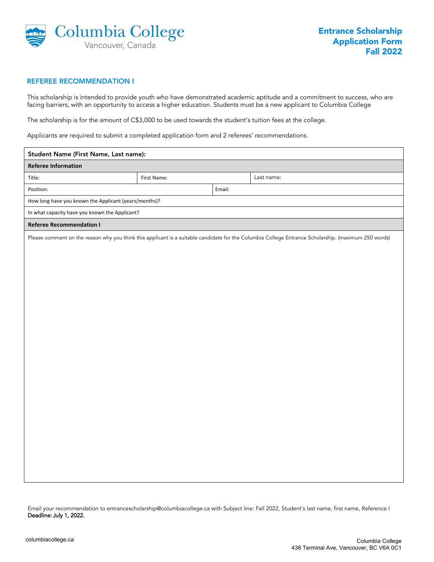

#### REFEREE RECOMMENDATION I

This scholarship is intended to provide youth who have demonstrated academic aptitude and a commitment to success, who are facing barriers, with an opportunity to access a higher education. Students must be a new applicant to Columbia College

The scholarship is for the amount of C\$3,000 to be used towards the student's tuition fees at the college.

Applicants are required to submit a completed application form and 2 referees' recommendations.

| Student Name (First Name, Last name):                                                                                                                |             |  |            |  |  |  |
|------------------------------------------------------------------------------------------------------------------------------------------------------|-------------|--|------------|--|--|--|
| <b>Referee Information</b>                                                                                                                           |             |  |            |  |  |  |
| Title:                                                                                                                                               | First Name: |  | Last name: |  |  |  |
| Position:                                                                                                                                            | Email:      |  |            |  |  |  |
| How long have you known the Applicant (years/months)?                                                                                                |             |  |            |  |  |  |
| In what capacity have you known the Applicant?                                                                                                       |             |  |            |  |  |  |
| <b>Referee Recommendation I</b>                                                                                                                      |             |  |            |  |  |  |
| Please comment on the reason why you think this applicant is a suitable candidate for the Columbia College Entrance Scholarship. (maximum 250 words) |             |  |            |  |  |  |
|                                                                                                                                                      |             |  |            |  |  |  |
|                                                                                                                                                      |             |  |            |  |  |  |
|                                                                                                                                                      |             |  |            |  |  |  |
|                                                                                                                                                      |             |  |            |  |  |  |

Email your recommendation to entrancescholarship@columbiacollege.ca with Subject line: Fall 2022, Student's last name, first name, Reference I Deadline: July 1, 2022.